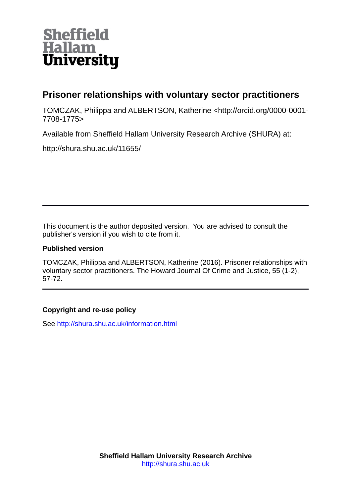

## **Prisoner relationships with voluntary sector practitioners**

TOMCZAK, Philippa and ALBERTSON, Katherine <http://orcid.org/0000-0001- 7708-1775>

Available from Sheffield Hallam University Research Archive (SHURA) at:

http://shura.shu.ac.uk/11655/

This document is the author deposited version. You are advised to consult the publisher's version if you wish to cite from it.

## **Published version**

TOMCZAK, Philippa and ALBERTSON, Katherine (2016). Prisoner relationships with voluntary sector practitioners. The Howard Journal Of Crime and Justice, 55 (1-2), 57-72.

## **Copyright and re-use policy**

See<http://shura.shu.ac.uk/information.html>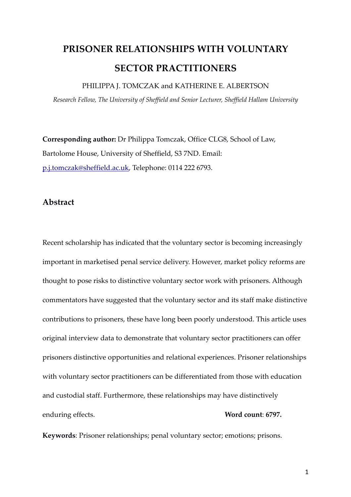# PRISONER RELATIONSHIPS WITH VOLUNTARY SECTOR PRACTITIONERS

PHILIPPA J. TOMCZAK and KATHERINE E. ALBERTSON

Research Fellow, The University of Sheffield and Senior Lecturer, Sheffield Hallam University

Corresponding author: Dr Philippa Tomczak, Office CLG8, School of Law, Bartolome House, University of Sheffield, S3 7ND. Email: p.j.tomczak@sheffield.ac.uk, Telephone: 0114 222 6793.

## Abstract

Recent scholarship has indicated that the voluntary sector is becoming increasingly important in marketised penal service delivery. However, market policy reforms are thought to pose risks to distinctive voluntary sector work with prisoners. Although commentators have suggested that the voluntary sector and its staff make distinctive contributions to prisoners, these have long been poorly understood. This article uses original interview data to demonstrate that voluntary sector practitioners can offer prisoners distinctive opportunities and relational experiences. Prisoner relationships with voluntary sector practitioners can be differentiated from those with education and custodial staff. Furthermore, these relationships may have distinctively enduring effects. Word count: 6797.

Keywords: Prisoner relationships; penal voluntary sector; emotions; prisons.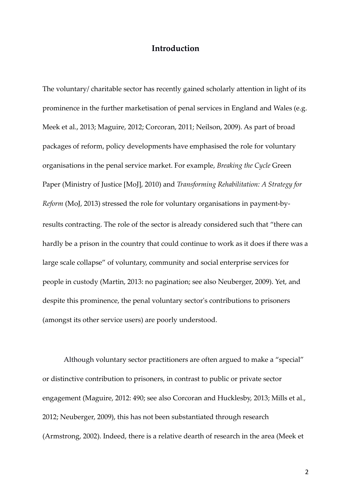#### Introduction

The voluntary/ charitable sector has recently gained scholarly attention in light of its prominence in the further marketisation of penal services in England and Wales (e.g. Meek et al., 2013; Maguire, 2012; Corcoran, 2011; Neilson, 2009). As part of broad packages of reform, policy developments have emphasised the role for voluntary organisations in the penal service market. For example, Breaking the Cycle Green Paper (Ministry of Justice [MoJ], 2010) and Transforming Rehabilitation: A Strategy for Reform (MoJ, 2013) stressed the role for voluntary organisations in payment-byresults contracting. The role of the sector is already considered such that "there can hardly be a prison in the country that could continue to work as it does if there was a large scale collapse" of voluntary, community and social enterprise services for people in custody (Martin, 2013: no pagination; see also Neuberger, 2009). Yet, and despite this prominence, the penal voluntary sector's contributions to prisoners (amongst its other service users) are poorly understood.

 Although voluntary sector practitioners are often argued to make a "special" or distinctive contribution to prisoners, in contrast to public or private sector engagement (Maguire, 2012: 490; see also Corcoran and Hucklesby, 2013; Mills et al., 2012; Neuberger, 2009), this has not been substantiated through research (Armstrong, 2002). Indeed, there is a relative dearth of research in the area (Meek et

2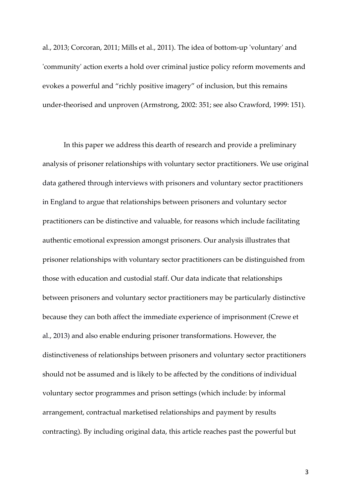al., 2013; Corcoran, 2011; Mills et al., 2011). The idea of bottom-up 'voluntary' and 'community' action exerts a hold over criminal justice policy reform movements and evokes a powerful and "richly positive imagery" of inclusion, but this remains under-theorised and unproven (Armstrong, 2002: 351; see also Crawford, 1999: 151).

 In this paper we address this dearth of research and provide a preliminary analysis of prisoner relationships with voluntary sector practitioners. We use original data gathered through interviews with prisoners and voluntary sector practitioners in England to argue that relationships between prisoners and voluntary sector practitioners can be distinctive and valuable, for reasons which include facilitating authentic emotional expression amongst prisoners. Our analysis illustrates that prisoner relationships with voluntary sector practitioners can be distinguished from those with education and custodial staff. Our data indicate that relationships between prisoners and voluntary sector practitioners may be particularly distinctive because they can both affect the immediate experience of imprisonment (Crewe et al., 2013) and also enable enduring prisoner transformations. However, the distinctiveness of relationships between prisoners and voluntary sector practitioners should not be assumed and is likely to be affected by the conditions of individual voluntary sector programmes and prison settings (which include: by informal arrangement, contractual marketised relationships and payment by results contracting). By including original data, this article reaches past the powerful but

3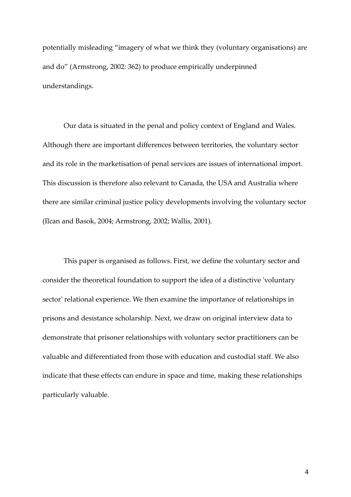potentially misleading "imagery of what we think they (voluntary organisations) are and do" (Armstrong, 2002: 362) to produce empirically underpinned understandings.

 Our data is situated in the penal and policy context of England and Wales. Although there are important differences between territories, the voluntary sector and its role in the marketisation of penal services are issues of international import. This discussion is therefore also relevant to Canada, the USA and Australia where there are similar criminal justice policy developments involving the voluntary sector (Ilcan and Basok, 2004; Armstrong, 2002; Wallis, 2001).

 This paper is organised as follows. First, we define the voluntary sector and consider the theoretical foundation to support the idea of a distinctive 'voluntary sector' relational experience. We then examine the importance of relationships in prisons and desistance scholarship. Next, we draw on original interview data to demonstrate that prisoner relationships with voluntary sector practitioners can be valuable and differentiated from those with education and custodial staff. We also indicate that these effects can endure in space and time, making these relationships particularly valuable.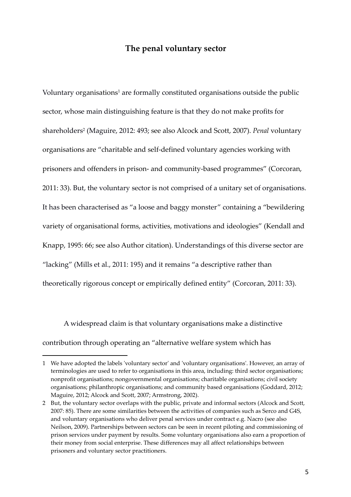## The penal voluntary sector

Voluntary organisations<sup>1</sup> are formally constituted organisations outside the public sector, whose main distinguishing feature is that they do not make profits for shareholders<sup>2</sup> (Maguire, 2012: 493; see also Alcock and Scott, 2007). *Penal* voluntary organisations are "charitable and self-defined voluntary agencies working with prisoners and offenders in prison- and community-based programmes" (Corcoran, 2011: 33). But, the voluntary sector is not comprised of a unitary set of organisations. It has been characterised as "a loose and baggy monster" containing a "bewildering variety of organisational forms, activities, motivations and ideologies" (Kendall and Knapp, 1995: 66; see also Author citation). Understandings of this diverse sector are "lacking" (Mills et al., 2011: 195) and it remains "a descriptive rather than theoretically rigorous concept or empirically defined entity" (Corcoran, 2011: 33).

 A widespread claim is that voluntary organisations make a distinctive contribution through operating an "alternative welfare system which has

<sup>1</sup> We have adopted the labels 'voluntary sector' and 'voluntary organisations'. However, an array of terminologies are used to refer to organisations in this area, including: third sector organisations; nonprofit organisations; nongovernmental organisations; charitable organisations; civil society organisations; philanthropic organisations; and community based organisations (Goddard, 2012; Maguire, 2012; Alcock and Scott, 2007; Armstrong, 2002).

<sup>2</sup> But, the voluntary sector overlaps with the public, private and informal sectors (Alcock and Scott, 2007: 85). There are some similarities between the activities of companies such as Serco and G4S, and voluntary organisations who deliver penal services under contract e.g. Nacro (see also Neilson, 2009). Partnerships between sectors can be seen in recent piloting and commissioning of prison services under payment by results. Some voluntary organisations also earn a proportion of their money from social enterprise. These differences may all affect relationships between prisoners and voluntary sector practitioners.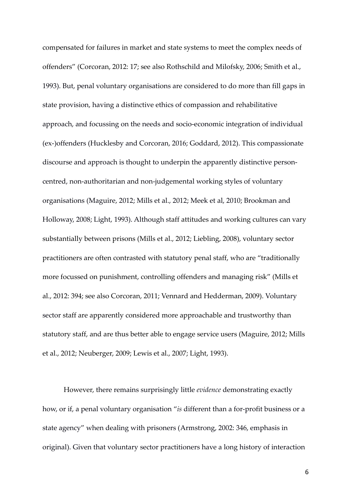compensated for failures in market and state systems to meet the complex needs of offenders" (Corcoran, 2012: 17; see also Rothschild and Milofsky, 2006; Smith et al., 1993). But, penal voluntary organisations are considered to do more than fill gaps in state provision, having a distinctive ethics of compassion and rehabilitative approach, and focussing on the needs and socio-economic integration of individual (ex-)offenders (Hucklesby and Corcoran, 2016; Goddard, 2012). This compassionate discourse and approach is thought to underpin the apparently distinctive personcentred, non-authoritarian and non-judgemental working styles of voluntary organisations (Maguire, 2012; Mills et al., 2012; Meek et al, 2010; Brookman and Holloway, 2008; Light, 1993). Although staff attitudes and working cultures can vary substantially between prisons (Mills et al., 2012; Liebling, 2008), voluntary sector practitioners are often contrasted with statutory penal staff, who are "traditionally more focussed on punishment, controlling offenders and managing risk" (Mills et al., 2012: 394; see also Corcoran, 2011; Vennard and Hedderman, 2009). Voluntary sector staff are apparently considered more approachable and trustworthy than statutory staff, and are thus better able to engage service users (Maguire, 2012; Mills et al., 2012; Neuberger, 2009; Lewis et al., 2007; Light, 1993).

 However, there remains surprisingly little evidence demonstrating exactly how, or if, a penal voluntary organisation "is different than a for-profit business or a state agency" when dealing with prisoners (Armstrong, 2002: 346, emphasis in original). Given that voluntary sector practitioners have a long history of interaction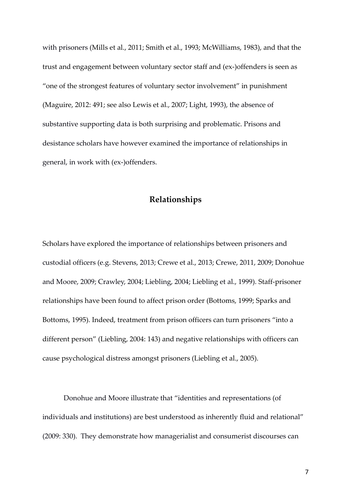with prisoners (Mills et al., 2011; Smith et al., 1993; McWilliams, 1983), and that the trust and engagement between voluntary sector staff and (ex-)offenders is seen as "one of the strongest features of voluntary sector involvement" in punishment (Maguire, 2012: 491; see also Lewis et al., 2007; Light, 1993), the absence of substantive supporting data is both surprising and problematic. Prisons and desistance scholars have however examined the importance of relationships in general, in work with (ex-)offenders.

## Relationships

Scholars have explored the importance of relationships between prisoners and custodial officers (e.g. Stevens, 2013; Crewe et al., 2013; Crewe, 2011, 2009; Donohue and Moore, 2009; Crawley, 2004; Liebling, 2004; Liebling et al., 1999). Staff-prisoner relationships have been found to affect prison order (Bottoms, 1999; Sparks and Bottoms, 1995). Indeed, treatment from prison officers can turn prisoners "into a different person" (Liebling, 2004: 143) and negative relationships with officers can cause psychological distress amongst prisoners (Liebling et al., 2005).

 Donohue and Moore illustrate that "identities and representations (of individuals and institutions) are best understood as inherently fluid and relational" (2009: 330). They demonstrate how managerialist and consumerist discourses can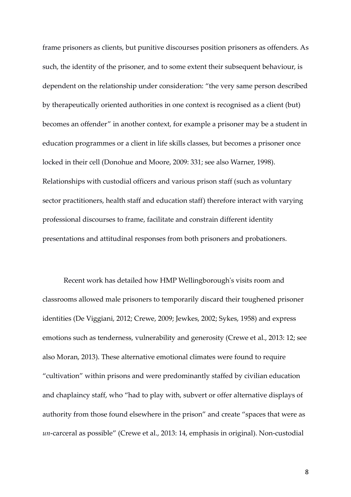frame prisoners as clients, but punitive discourses position prisoners as offenders. As such, the identity of the prisoner, and to some extent their subsequent behaviour, is dependent on the relationship under consideration: "the very same person described by therapeutically oriented authorities in one context is recognised as a client (but) becomes an offender" in another context, for example a prisoner may be a student in education programmes or a client in life skills classes, but becomes a prisoner once locked in their cell (Donohue and Moore, 2009: 331; see also Warner, 1998). Relationships with custodial officers and various prison staff (such as voluntary sector practitioners, health staff and education staff) therefore interact with varying professional discourses to frame, facilitate and constrain different identity presentations and attitudinal responses from both prisoners and probationers.

 Recent work has detailed how HMP Wellingborough's visits room and classrooms allowed male prisoners to temporarily discard their toughened prisoner identities (De Viggiani, 2012; Crewe, 2009; Jewkes, 2002; Sykes, 1958) and express emotions such as tenderness, vulnerability and generosity (Crewe et al., 2013: 12; see also Moran, 2013). These alternative emotional climates were found to require "cultivation" within prisons and were predominantly staffed by civilian education and chaplaincy staff, who "had to play with, subvert or offer alternative displays of authority from those found elsewhere in the prison" and create "spaces that were as un-carceral as possible" (Crewe et al., 2013: 14, emphasis in original). Non-custodial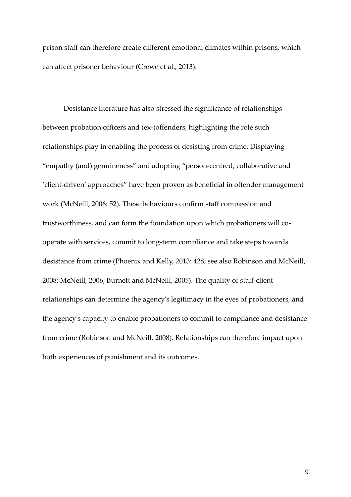prison staff can therefore create different emotional climates within prisons, which can affect prisoner behaviour (Crewe et al., 2013).

 Desistance literature has also stressed the significance of relationships between probation officers and (ex-)offenders, highlighting the role such relationships play in enabling the process of desisting from crime. Displaying "empathy (and) genuineness" and adopting "person-centred, collaborative and 'client-driven' approaches" have been proven as beneficial in offender management work (McNeill, 2006: 52). These behaviours confirm staff compassion and trustworthiness, and can form the foundation upon which probationers will cooperate with services, commit to long-term compliance and take steps towards desistance from crime (Phoenix and Kelly, 2013: 428; see also Robinson and McNeill, 2008; McNeill, 2006; Burnett and McNeill, 2005). The quality of staff-client relationships can determine the agency's legitimacy in the eyes of probationers, and the agency's capacity to enable probationers to commit to compliance and desistance from crime (Robinson and McNeill, 2008). Relationships can therefore impact upon both experiences of punishment and its outcomes.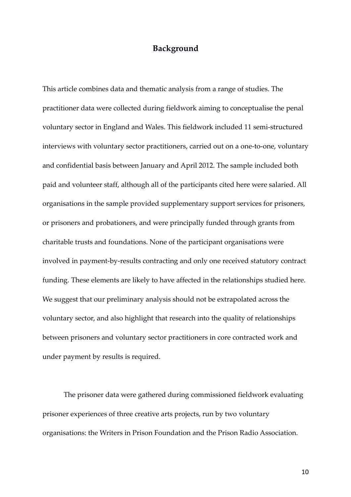## Background

This article combines data and thematic analysis from a range of studies. The practitioner data were collected during fieldwork aiming to conceptualise the penal voluntary sector in England and Wales. This fieldwork included 11 semi-structured interviews with voluntary sector practitioners, carried out on a one-to-one, voluntary and confidential basis between January and April 2012. The sample included both paid and volunteer staff, although all of the participants cited here were salaried. All organisations in the sample provided supplementary support services for prisoners, or prisoners and probationers, and were principally funded through grants from charitable trusts and foundations. None of the participant organisations were involved in payment-by-results contracting and only one received statutory contract funding. These elements are likely to have affected in the relationships studied here. We suggest that our preliminary analysis should not be extrapolated across the voluntary sector, and also highlight that research into the quality of relationships between prisoners and voluntary sector practitioners in core contracted work and under payment by results is required.

 The prisoner data were gathered during commissioned fieldwork evaluating prisoner experiences of three creative arts projects, run by two voluntary organisations: the Writers in Prison Foundation and the Prison Radio Association.

10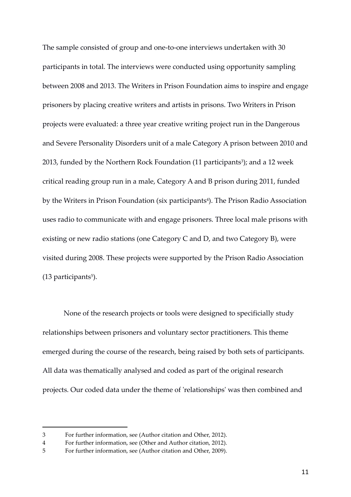The sample consisted of group and one-to-one interviews undertaken with 30 participants in total. The interviews were conducted using opportunity sampling between 2008 and 2013. The Writers in Prison Foundation aims to inspire and engage prisoners by placing creative writers and artists in prisons. Two Writers in Prison projects were evaluated: a three year creative writing project run in the Dangerous and Severe Personality Disorders unit of a male Category A prison between 2010 and 2013, funded by the Northern Rock Foundation (11 participants<sup>3</sup>); and a 12 week critical reading group run in a male, Category A and B prison during 2011, funded by the Writers in Prison Foundation (six participants<sup>4</sup>). The Prison Radio Association uses radio to communicate with and engage prisoners. Three local male prisons with existing or new radio stations (one Category C and D, and two Category B), were visited during 2008. These projects were supported by the Prison Radio Association (13 participants<sup>5</sup>).

 None of the research projects or tools were designed to specificially study relationships between prisoners and voluntary sector practitioners. This theme emerged during the course of the research, being raised by both sets of participants. All data was thematically analysed and coded as part of the original research projects. Our coded data under the theme of 'relationships' was then combined and

<sup>3</sup> For further information, see (Author citation and Other, 2012).

<sup>4</sup> For further information, see (Other and Author citation, 2012).

<sup>5</sup> For further information, see (Author citation and Other, 2009).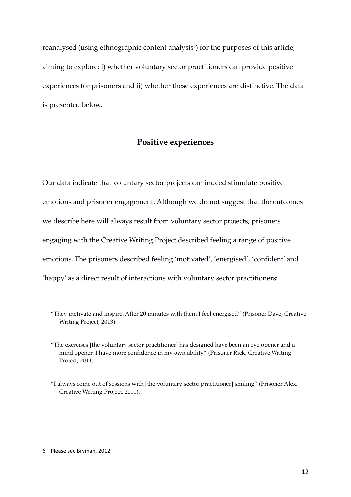reanalysed (using ethnographic content analysis<sup>6</sup>) for the purposes of this article, aiming to explore: i) whether voluntary sector practitioners can provide positive experiences for prisoners and ii) whether these experiences are distinctive. The data is presented below.

## Positive experiences

Our data indicate that voluntary sector projects can indeed stimulate positive emotions and prisoner engagement. Although we do not suggest that the outcomes we describe here will always result from voluntary sector projects, prisoners engaging with the Creative Writing Project described feeling a range of positive emotions. The prisoners described feeling 'motivated', 'energised', 'confident' and 'happy' as a direct result of interactions with voluntary sector practitioners:

<sup>&</sup>quot;They motivate and inspire. After 20 minutes with them I feel energised" (Prisoner Dave, Creative Writing Project, 2013).

<sup>&</sup>quot;The exercises [the voluntary sector practitioner] has designed have been an eye opener and a mind opener. I have more confidence in my own ability" (Prisoner Rick, Creative Writing Project, 2011).

<sup>&</sup>quot;I always come out of sessions with [the voluntary sector practitioner] smiling" (Prisoner Alex, Creative Writing Project, 2011).

<sup>6</sup> Please see Bryman, 2012.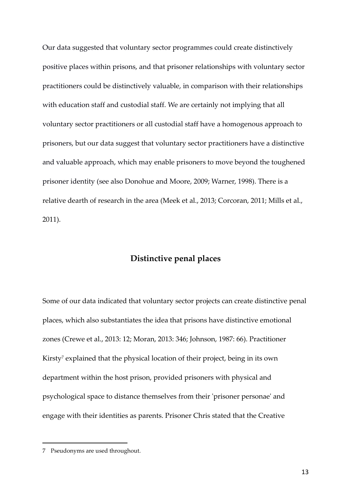Our data suggested that voluntary sector programmes could create distinctively positive places within prisons, and that prisoner relationships with voluntary sector practitioners could be distinctively valuable, in comparison with their relationships with education staff and custodial staff. We are certainly not implying that all voluntary sector practitioners or all custodial staff have a homogenous approach to prisoners, but our data suggest that voluntary sector practitioners have a distinctive and valuable approach, which may enable prisoners to move beyond the toughened prisoner identity (see also Donohue and Moore, 2009; Warner, 1998). There is a relative dearth of research in the area (Meek et al., 2013; Corcoran, 2011; Mills et al., 2011).

## Distinctive penal places

Some of our data indicated that voluntary sector projects can create distinctive penal places, which also substantiates the idea that prisons have distinctive emotional zones (Crewe et al., 2013: 12; Moran, 2013: 346; Johnson, 1987: 66). Practitioner Kirsty<sup>7</sup> explained that the physical location of their project, being in its own department within the host prison, provided prisoners with physical and psychological space to distance themselves from their 'prisoner personae' and engage with their identities as parents. Prisoner Chris stated that the Creative

<sup>7</sup> Pseudonyms are used throughout.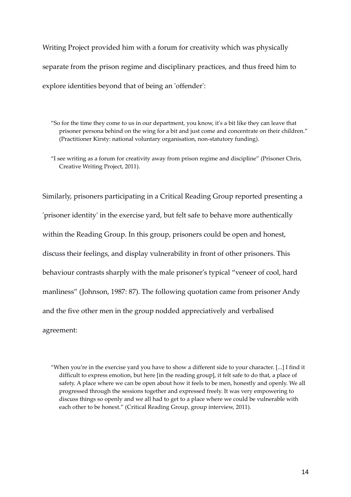Writing Project provided him with a forum for creativity which was physically separate from the prison regime and disciplinary practices, and thus freed him to explore identities beyond that of being an 'offender':

"So for the time they come to us in our department, you know, it's a bit like they can leave that prisoner persona behind on the wing for a bit and just come and concentrate on their children." (Practitioner Kirsty: national voluntary organisation, non-statutory funding).

"I see writing as a forum for creativity away from prison regime and discipline" (Prisoner Chris, Creative Writing Project, 2011).

Similarly, prisoners participating in a Critical Reading Group reported presenting a 'prisoner identity' in the exercise yard, but felt safe to behave more authentically within the Reading Group. In this group, prisoners could be open and honest, discuss their feelings, and display vulnerability in front of other prisoners. This behaviour contrasts sharply with the male prisoner's typical "veneer of cool, hard manliness" (Johnson, 1987: 87). The following quotation came from prisoner Andy and the five other men in the group nodded appreciatively and verbalised agreement:

"When you're in the exercise yard you have to show a different side to your character. [...] I find it difficult to express emotion, but here [in the reading group], it felt safe to do that, a place of safety. A place where we can be open about how it feels to be men, honestly and openly. We all progressed through the sessions together and expressed freely. It was very empowering to discuss things so openly and we all had to get to a place where we could be vulnerable with each other to be honest." (Critical Reading Group, group interview, 2011).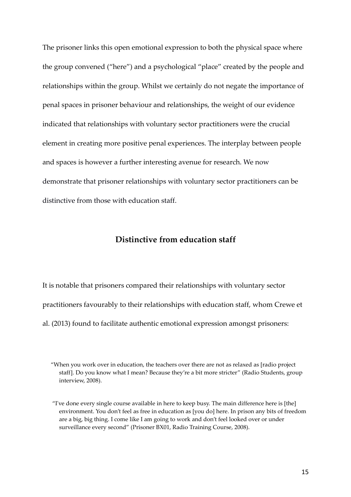The prisoner links this open emotional expression to both the physical space where the group convened ("here") and a psychological "place" created by the people and relationships within the group. Whilst we certainly do not negate the importance of penal spaces in prisoner behaviour and relationships, the weight of our evidence indicated that relationships with voluntary sector practitioners were the crucial element in creating more positive penal experiences. The interplay between people and spaces is however a further interesting avenue for research. We now demonstrate that prisoner relationships with voluntary sector practitioners can be distinctive from those with education staff.

## Distinctive from education staff

It is notable that prisoners compared their relationships with voluntary sector practitioners favourably to their relationships with education staff, whom Crewe et al. (2013) found to facilitate authentic emotional expression amongst prisoners:

<sup>&</sup>quot;When you work over in education, the teachers over there are not as relaxed as [radio project staff]. Do you know what I mean? Because they're a bit more stricter" (Radio Students, group interview, 2008).

 <sup>&</sup>quot;I've done every single course available in here to keep busy. The main difference here is [the] environment. You don't feel as free in education as [you do] here. In prison any bits of freedom are a big, big thing. I come like I am going to work and don't feel looked over or under surveillance every second" (Prisoner BX01, Radio Training Course, 2008).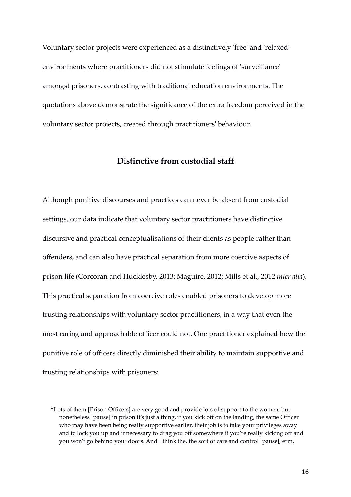Voluntary sector projects were experienced as a distinctively 'free' and 'relaxed' environments where practitioners did not stimulate feelings of 'surveillance' amongst prisoners, contrasting with traditional education environments. The quotations above demonstrate the significance of the extra freedom perceived in the voluntary sector projects, created through practitioners' behaviour.

## Distinctive from custodial staff

Although punitive discourses and practices can never be absent from custodial settings, our data indicate that voluntary sector practitioners have distinctive discursive and practical conceptualisations of their clients as people rather than offenders, and can also have practical separation from more coercive aspects of prison life (Corcoran and Hucklesby, 2013; Maguire, 2012; Mills et al., 2012 inter alia). This practical separation from coercive roles enabled prisoners to develop more trusting relationships with voluntary sector practitioners, in a way that even the most caring and approachable officer could not. One practitioner explained how the punitive role of officers directly diminished their ability to maintain supportive and trusting relationships with prisoners:

<sup>&</sup>quot;Lots of them [Prison Officers] are very good and provide lots of support to the women, but nonetheless [pause] in prison it's just a thing, if you kick off on the landing, the same Officer who may have been being really supportive earlier, their job is to take your privileges away and to lock you up and if necessary to drag you off somewhere if you're really kicking off and you won't go behind your doors. And I think the, the sort of care and control [pause], erm,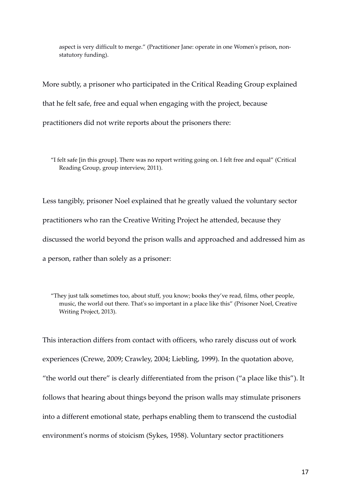aspect is very difficult to merge." (Practitioner Jane: operate in one Women's prison, nonstatutory funding).

More subtly, a prisoner who participated in the Critical Reading Group explained that he felt safe, free and equal when engaging with the project, because practitioners did not write reports about the prisoners there:

"I felt safe [in this group]. There was no report writing going on. I felt free and equal" (Critical Reading Group, group interview, 2011).

Less tangibly, prisoner Noel explained that he greatly valued the voluntary sector practitioners who ran the Creative Writing Project he attended, because they discussed the world beyond the prison walls and approached and addressed him as a person, rather than solely as a prisoner:

"They just talk sometimes too, about stuff, you know; books they've read, films, other people, music, the world out there. That's so important in a place like this" (Prisoner Noel, Creative Writing Project, 2013).

This interaction differs from contact with officers, who rarely discuss out of work experiences (Crewe, 2009; Crawley, 2004; Liebling, 1999). In the quotation above, "the world out there" is clearly differentiated from the prison ("a place like this"). It follows that hearing about things beyond the prison walls may stimulate prisoners into a different emotional state, perhaps enabling them to transcend the custodial environment's norms of stoicism (Sykes, 1958). Voluntary sector practitioners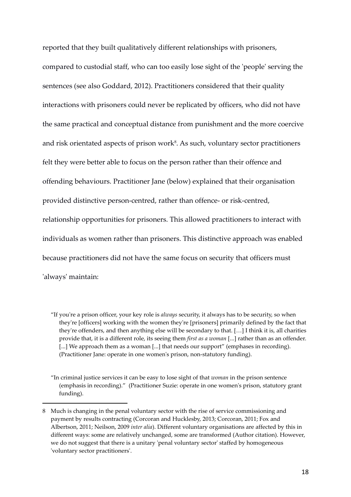reported that they built qualitatively different relationships with prisoners,

compared to custodial staff, who can too easily lose sight of the 'people' serving the sentences (see also Goddard, 2012). Practitioners considered that their quality interactions with prisoners could never be replicated by officers, who did not have the same practical and conceptual distance from punishment and the more coercive and risk orientated aspects of prison work<sup>8</sup>. As such, voluntary sector practitioners felt they were better able to focus on the person rather than their offence and offending behaviours. Practitioner Jane (below) explained that their organisation provided distinctive person-centred, rather than offence- or risk-centred, relationship opportunities for prisoners. This allowed practitioners to interact with individuals as women rather than prisoners. This distinctive approach was enabled because practitioners did not have the same focus on security that officers must 'always' maintain:

<sup>&</sup>quot;If you're a prison officer, your key role is *always* security, it always has to be security, so when they're [officers] working with the women they're [prisoners] primarily defined by the fact that they're offenders, and then anything else will be secondary to that. […] I think it is, all charities provide that, it is a different role, its seeing them *first as a woman* [...] rather than as an offender. [...] We approach them as a woman [...] that needs our support" (emphases in recording). (Practitioner Jane: operate in one women's prison, non-statutory funding).

<sup>&</sup>quot;In criminal justice services it can be easy to lose sight of that woman in the prison sentence (emphasis in recording)." (Practitioner Suzie: operate in one women's prison, statutory grant funding).

<sup>8</sup> Much is changing in the penal voluntary sector with the rise of service commissioning and payment by results contracting (Corcoran and Hucklesby, 2013; Corcoran, 2011; Fox and Albertson, 2011; Neilson, 2009 inter alia). Different voluntary organisations are affected by this in different ways: some are relatively unchanged, some are transformed (Author citation). However, we do not suggest that there is a unitary 'penal voluntary sector' staffed by homogeneous 'voluntary sector practitioners'.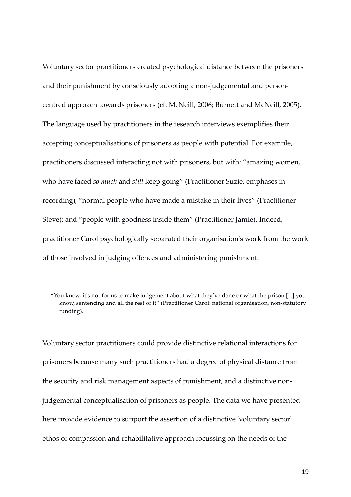Voluntary sector practitioners created psychological distance between the prisoners and their punishment by consciously adopting a non-judgemental and personcentred approach towards prisoners (cf. McNeill, 2006; Burnett and McNeill, 2005). The language used by practitioners in the research interviews exemplifies their accepting conceptualisations of prisoners as people with potential. For example, practitioners discussed interacting not with prisoners, but with: "amazing women, who have faced so much and still keep going" (Practitioner Suzie, emphases in recording); "normal people who have made a mistake in their lives" (Practitioner Steve); and "people with goodness inside them" (Practitioner Jamie). Indeed, practitioner Carol psychologically separated their organisation's work from the work of those involved in judging offences and administering punishment:

Voluntary sector practitioners could provide distinctive relational interactions for prisoners because many such practitioners had a degree of physical distance from the security and risk management aspects of punishment, and a distinctive nonjudgemental conceptualisation of prisoners as people. The data we have presented here provide evidence to support the assertion of a distinctive 'voluntary sector' ethos of compassion and rehabilitative approach focussing on the needs of the

<sup>&</sup>quot;You know, it's not for us to make judgement about what they've done or what the prison [...] you know, sentencing and all the rest of it" (Practitioner Carol: national organisation, non-statutory funding).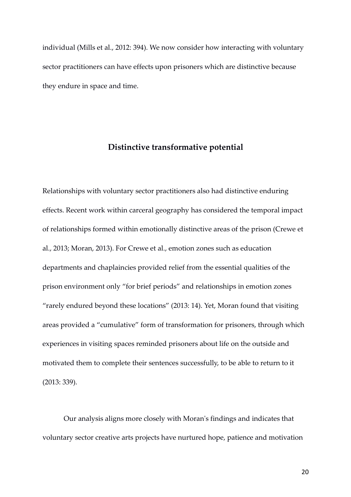individual (Mills et al., 2012: 394). We now consider how interacting with voluntary sector practitioners can have effects upon prisoners which are distinctive because they endure in space and time.

## Distinctive transformative potential

Relationships with voluntary sector practitioners also had distinctive enduring effects. Recent work within carceral geography has considered the temporal impact of relationships formed within emotionally distinctive areas of the prison (Crewe et al., 2013; Moran, 2013). For Crewe et al., emotion zones such as education departments and chaplaincies provided relief from the essential qualities of the prison environment only "for brief periods" and relationships in emotion zones "rarely endured beyond these locations" (2013: 14). Yet, Moran found that visiting areas provided a "cumulative" form of transformation for prisoners, through which experiences in visiting spaces reminded prisoners about life on the outside and motivated them to complete their sentences successfully, to be able to return to it (2013: 339).

 Our analysis aligns more closely with Moran's findings and indicates that voluntary sector creative arts projects have nurtured hope, patience and motivation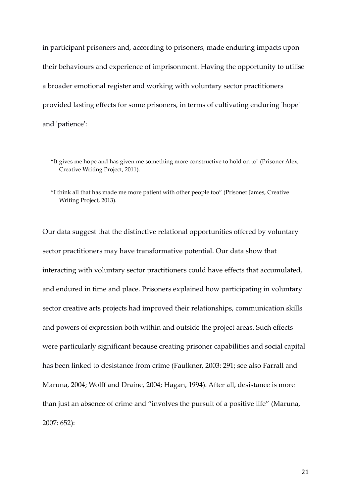in participant prisoners and, according to prisoners, made enduring impacts upon their behaviours and experience of imprisonment. Having the opportunity to utilise a broader emotional register and working with voluntary sector practitioners provided lasting effects for some prisoners, in terms of cultivating enduring 'hope' and 'patience':

"I think all that has made me more patient with other people too" (Prisoner James, Creative Writing Project, 2013).

Our data suggest that the distinctive relational opportunities offered by voluntary sector practitioners may have transformative potential. Our data show that interacting with voluntary sector practitioners could have effects that accumulated, and endured in time and place. Prisoners explained how participating in voluntary sector creative arts projects had improved their relationships, communication skills and powers of expression both within and outside the project areas. Such effects were particularly significant because creating prisoner capabilities and social capital has been linked to desistance from crime (Faulkner, 2003: 291; see also Farrall and Maruna, 2004; Wolff and Draine, 2004; Hagan, 1994). After all, desistance is more than just an absence of crime and "involves the pursuit of a positive life" (Maruna, 2007: 652):

<sup>&</sup>quot;It gives me hope and has given me something more constructive to hold on to" (Prisoner Alex, Creative Writing Project, 2011).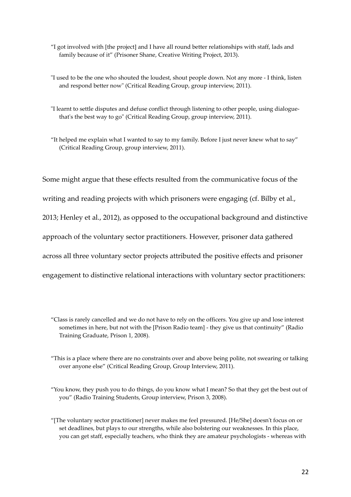- "I got involved with [the project] and I have all round better relationships with staff, lads and family because of it" (Prisoner Shane, Creative Writing Project, 2013).
- "I used to be the one who shouted the loudest, shout people down. Not any more I think, listen and respond better now" (Critical Reading Group, group interview, 2011).
- "I learnt to settle disputes and defuse conflict through listening to other people, using dialoguethat's the best way to go" (Critical Reading Group, group interview, 2011).
- "It helped me explain what I wanted to say to my family. Before I just never knew what to say" (Critical Reading Group, group interview, 2011).

Some might argue that these effects resulted from the communicative focus of the writing and reading projects with which prisoners were engaging (cf. Bilby et al., 2013; Henley et al., 2012), as opposed to the occupational background and distinctive approach of the voluntary sector practitioners. However, prisoner data gathered across all three voluntary sector projects attributed the positive effects and prisoner engagement to distinctive relational interactions with voluntary sector practitioners:

<sup>&</sup>quot;Class is rarely cancelled and we do not have to rely on the officers. You give up and lose interest sometimes in here, but not with the [Prison Radio team] - they give us that continuity" (Radio Training Graduate, Prison 1, 2008).

<sup>&</sup>quot;This is a place where there are no constraints over and above being polite, not swearing or talking over anyone else" (Critical Reading Group, Group Interview, 2011).

<sup>&</sup>quot;You know, they push you to do things, do you know what I mean? So that they get the best out of you" (Radio Training Students, Group interview, Prison 3, 2008).

<sup>&</sup>quot;[The voluntary sector practitioner] never makes me feel pressured. [He/She] doesn't focus on or set deadlines, but plays to our strengths, while also bolstering our weaknesses. In this place, you can get staff, especially teachers, who think they are amateur psychologists - whereas with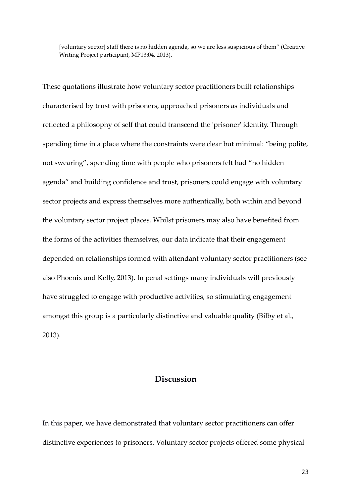[voluntary sector] staff there is no hidden agenda, so we are less suspicious of them" (Creative Writing Project participant, MP13:04, 2013).

These quotations illustrate how voluntary sector practitioners built relationships characterised by trust with prisoners, approached prisoners as individuals and reflected a philosophy of self that could transcend the 'prisoner' identity. Through spending time in a place where the constraints were clear but minimal: "being polite, not swearing", spending time with people who prisoners felt had "no hidden agenda" and building confidence and trust, prisoners could engage with voluntary sector projects and express themselves more authentically, both within and beyond the voluntary sector project places. Whilst prisoners may also have benefited from the forms of the activities themselves, our data indicate that their engagement depended on relationships formed with attendant voluntary sector practitioners (see also Phoenix and Kelly, 2013). In penal settings many individuals will previously have struggled to engage with productive activities, so stimulating engagement amongst this group is a particularly distinctive and valuable quality (Bilby et al., 2013).

## Discussion

In this paper, we have demonstrated that voluntary sector practitioners can offer distinctive experiences to prisoners. Voluntary sector projects offered some physical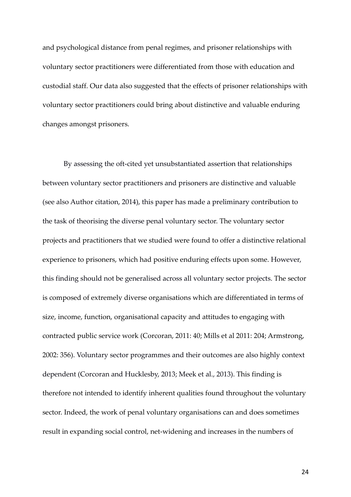and psychological distance from penal regimes, and prisoner relationships with voluntary sector practitioners were differentiated from those with education and custodial staff. Our data also suggested that the effects of prisoner relationships with voluntary sector practitioners could bring about distinctive and valuable enduring changes amongst prisoners.

 By assessing the oft-cited yet unsubstantiated assertion that relationships between voluntary sector practitioners and prisoners are distinctive and valuable (see also Author citation, 2014), this paper has made a preliminary contribution to the task of theorising the diverse penal voluntary sector. The voluntary sector projects and practitioners that we studied were found to offer a distinctive relational experience to prisoners, which had positive enduring effects upon some. However, this finding should not be generalised across all voluntary sector projects. The sector is composed of extremely diverse organisations which are differentiated in terms of size, income, function, organisational capacity and attitudes to engaging with contracted public service work (Corcoran, 2011: 40; Mills et al 2011: 204; Armstrong, 2002: 356). Voluntary sector programmes and their outcomes are also highly context dependent (Corcoran and Hucklesby, 2013; Meek et al., 2013). This finding is therefore not intended to identify inherent qualities found throughout the voluntary sector. Indeed, the work of penal voluntary organisations can and does sometimes result in expanding social control, net-widening and increases in the numbers of

24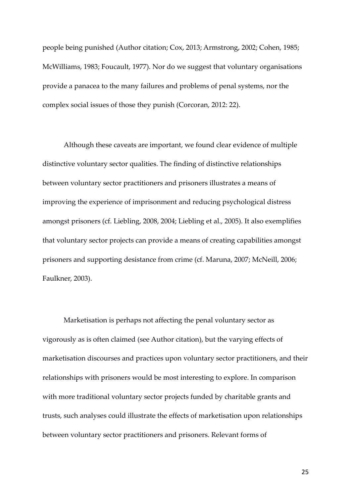people being punished (Author citation; Cox, 2013; Armstrong, 2002; Cohen, 1985; McWilliams, 1983; Foucault, 1977). Nor do we suggest that voluntary organisations provide a panacea to the many failures and problems of penal systems, nor the complex social issues of those they punish (Corcoran, 2012: 22).

 Although these caveats are important, we found clear evidence of multiple distinctive voluntary sector qualities. The finding of distinctive relationships between voluntary sector practitioners and prisoners illustrates a means of improving the experience of imprisonment and reducing psychological distress amongst prisoners (cf. Liebling, 2008, 2004; Liebling et al., 2005). It also exemplifies that voluntary sector projects can provide a means of creating capabilities amongst prisoners and supporting desistance from crime (cf. Maruna, 2007; McNeill, 2006; Faulkner, 2003).

 Marketisation is perhaps not affecting the penal voluntary sector as vigorously as is often claimed (see Author citation), but the varying effects of marketisation discourses and practices upon voluntary sector practitioners, and their relationships with prisoners would be most interesting to explore. In comparison with more traditional voluntary sector projects funded by charitable grants and trusts, such analyses could illustrate the effects of marketisation upon relationships between voluntary sector practitioners and prisoners. Relevant forms of

25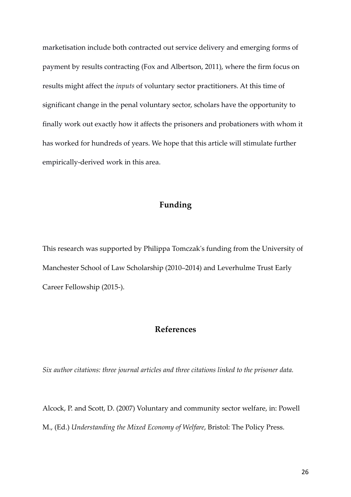marketisation include both contracted out service delivery and emerging forms of payment by results contracting (Fox and Albertson, 2011), where the firm focus on results might affect the inputs of voluntary sector practitioners. At this time of significant change in the penal voluntary sector, scholars have the opportunity to finally work out exactly how it affects the prisoners and probationers with whom it has worked for hundreds of years. We hope that this article will stimulate further empirically-derived work in this area.

## Funding

This research was supported by Philippa Tomczak's funding from the University of Manchester School of Law Scholarship (2010–2014) and Leverhulme Trust Early Career Fellowship (2015-).

## References

Six author citations: three journal articles and three citations linked to the prisoner data.

Alcock, P. and Scott, D. (2007) Voluntary and community sector welfare, in: Powell M., (Ed.) Understanding the Mixed Economy of Welfare, Bristol: The Policy Press.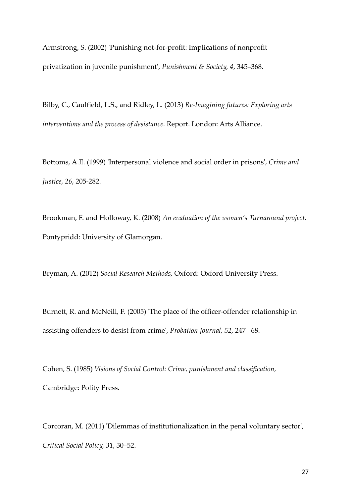Armstrong, S. (2002) 'Punishing not-for-profit: Implications of nonprofit privatization in juvenile punishment', Punishment & Society, 4, 345–368.

Bilby, C., Caulfield, L.S., and Ridley, L. (2013) Re-Imagining futures: Exploring arts interventions and the process of desistance. Report. London: Arts Alliance.

Bottoms, A.E. (1999) 'Interpersonal violence and social order in prisons', Crime and Justice, 26, 205-282.

Brookman, F. and Holloway, K. (2008) An evaluation of the women's Turnaround project. Pontypridd: University of Glamorgan.

Bryman, A. (2012) Social Research Methods, Oxford: Oxford University Press.

Burnett, R. and McNeill, F. (2005) 'The place of the officer-offender relationship in assisting offenders to desist from crime', Probation Journal, 52, 247– 68.

Cohen, S. (1985) Visions of Social Control: Crime, punishment and classification, Cambridge: Polity Press.

Corcoran, M. (2011) 'Dilemmas of institutionalization in the penal voluntary sector', Critical Social Policy, 31, 30–52.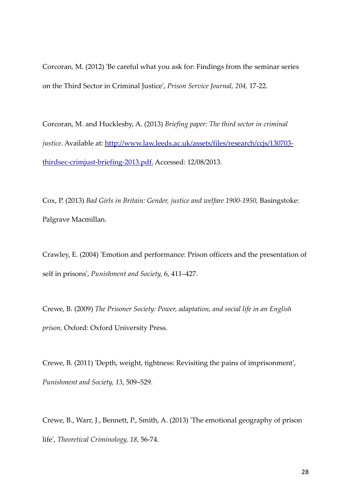Corcoran, M. (2012) 'Be careful what you ask for: Findings from the seminar series on the Third Sector in Criminal Justice', Prison Service Journal, 204, 17-22.

Corcoran, M. and Hucklesby, A. (2013) Briefing paper: The third sector in criminal justice. Available at: http://www.law.leeds.ac.uk/assets/files/research/ccjs/130703thirdsec-crimjust-briefing-2013.pdf. Accessed: 12/08/2013.

Cox, P. (2013) Bad Girls in Britain: Gender, justice and welfare 1900-1950, Basingstoke: Palgrave Macmillan.

Crawley, E. (2004) 'Emotion and performance: Prison officers and the presentation of self in prisons', Punishment and Society, 6, 411–427.

Crewe, B. (2009) The Prisoner Society: Power, adaptation, and social life in an English prison, Oxford: Oxford University Press.

Crewe, B. (2011) 'Depth, weight, tightness: Revisiting the pains of imprisonment', Punishment and Society, 13, 509–529.

Crewe, B., Warr, J., Bennett, P., Smith, A. (2013) 'The emotional geography of prison life', Theoretical Criminology, 18, 56-74.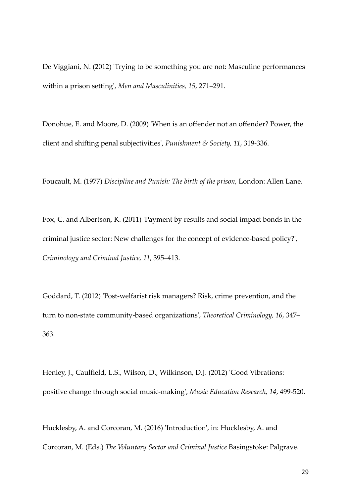De Viggiani, N. (2012) 'Trying to be something you are not: Masculine performances within a prison setting', Men and Masculinities, 15, 271–291.

Donohue, E. and Moore, D. (2009) 'When is an offender not an offender? Power, the client and shifting penal subjectivities', Punishment & Society, 11, 319-336.

Foucault, M. (1977) Discipline and Punish: The birth of the prison, London: Allen Lane.

Fox, C. and Albertson, K. (2011) 'Payment by results and social impact bonds in the criminal justice sector: New challenges for the concept of evidence-based policy?', Criminology and Criminal Justice, 11, 395–413.

Goddard, T. (2012) 'Post-welfarist risk managers? Risk, crime prevention, and the turn to non-state community-based organizations', Theoretical Criminology, 16, 347– 363.

Henley, J., Caulfield, L.S., Wilson, D., Wilkinson, D.J. (2012) 'Good Vibrations: positive change through social music-making', Music Education Research, 14, 499-520.

Hucklesby, A. and Corcoran, M. (2016) 'Introduction', in: Hucklesby, A. and Corcoran, M. (Eds.) The Voluntary Sector and Criminal Justice Basingstoke: Palgrave.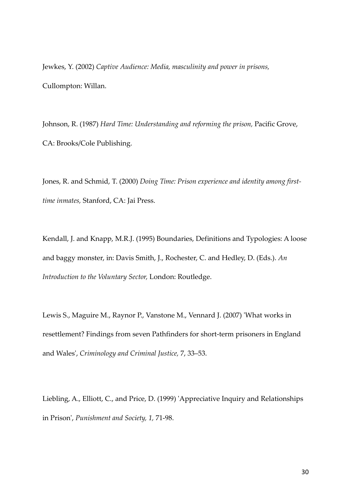Jewkes, Y. (2002) Captive Audience: Media, masculinity and power in prisons, Cullompton: Willan.

Johnson, R. (1987) Hard Time: Understanding and reforming the prison, Pacific Grove, CA: Brooks/Cole Publishing.

Jones, R. and Schmid, T. (2000) Doing Time: Prison experience and identity among firsttime inmates, Stanford, CA: Jai Press.

Kendall, J. and Knapp, M.R.J. (1995) Boundaries, Definitions and Typologies: A loose and baggy monster, in: Davis Smith, J., Rochester, C. and Hedley, D. (Eds.). An Introduction to the Voluntary Sector, London: Routledge.

Lewis S., Maguire M., Raynor P., Vanstone M., Vennard J. (2007) 'What works in resettlement? Findings from seven Pathfinders for short-term prisoners in England and Wales', Criminology and Criminal Justice, 7, 33–53.

Liebling, A., Elliott, C., and Price, D. (1999) 'Appreciative Inquiry and Relationships in Prison', Punishment and Society, 1, 71-98.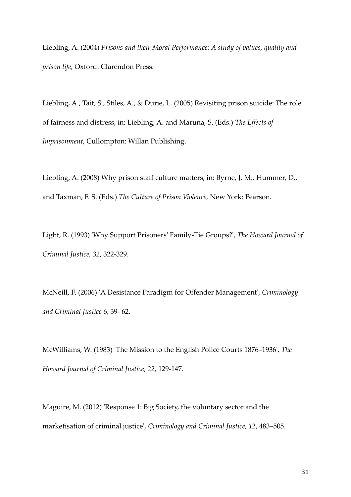Liebling, A. (2004) Prisons and their Moral Performance: A study of values, quality and prison life, Oxford: Clarendon Press.

Liebling, A., Tait, S., Stiles, A., & Durie, L. (2005) Revisiting prison suicide: The role of fairness and distress, in: Liebling, A. and Maruna, S. (Eds.) The Effects of Imprisonment, Cullompton: Willan Publishing.

Liebling, A. (2008) Why prison staff culture matters, in: Byrne, J. M., Hummer, D., and Taxman, F. S. (Eds.) The Culture of Prison Violence, New York: Pearson.

Light, R. (1993) 'Why Support Prisoners' Family-Tie Groups?', The Howard Journal of Criminal Justice, 32, 322-329.

McNeill, F. (2006) 'A Desistance Paradigm for Offender Management', Criminology and Criminal Justice 6, 39- 62.

McWilliams, W. (1983) 'The Mission to the English Police Courts 1876–1936', The Howard Journal of Criminal Justice, 22, 129-147.

Maguire, M. (2012) 'Response 1: Big Society, the voluntary sector and the marketisation of criminal justice', Criminology and Criminal Justice, 12, 483–505.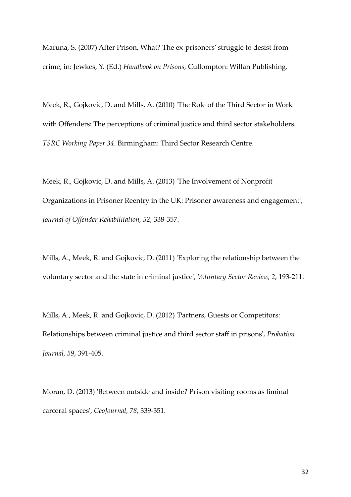Maruna, S. (2007) After Prison, What? The ex-prisoners' struggle to desist from crime, in: Jewkes, Y. (Ed.) Handbook on Prisons, Cullompton: Willan Publishing.

Meek, R., Gojkovic, D. and Mills, A. (2010) 'The Role of the Third Sector in Work with Offenders: The perceptions of criminal justice and third sector stakeholders. TSRC Working Paper 34. Birmingham: Third Sector Research Centre.

Meek, R., Gojkovic, D. and Mills, A. (2013) 'The Involvement of Nonprofit Organizations in Prisoner Reentry in the UK: Prisoner awareness and engagement', Journal of Offender Rehabilitation, 52, 338-357.

Mills, A., Meek, R. and Gojkovic, D. (2011) 'Exploring the relationship between the voluntary sector and the state in criminal justice', Voluntary Sector Review, 2, 193-211.

Mills, A., Meek, R. and Gojkovic, D. (2012) 'Partners, Guests or Competitors: Relationships between criminal justice and third sector staff in prisons', Probation Journal, 59, 391-405.

Moran, D. (2013) 'Between outside and inside? Prison visiting rooms as liminal carceral spaces', GeoJournal, 78, 339-351.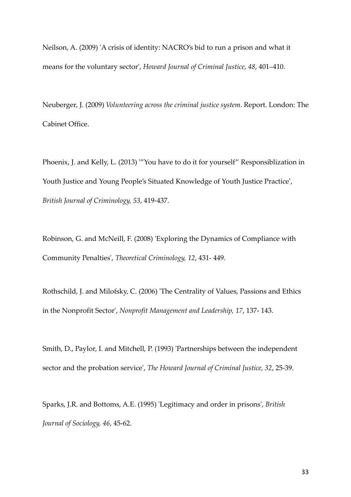Neilson, A. (2009) 'A crisis of identity: NACRO's bid to run a prison and what it means for the voluntary sector', Howard Journal of Criminal Justice, 48, 401–410.

Neuberger, J. (2009) Volunteering across the criminal justice system. Report. London: The Cabinet Office.

Phoenix, J. and Kelly, L. (2013) '"You have to do it for yourself" Responsiblization in Youth Justice and Young People's Situated Knowledge of Youth Justice Practice', British Journal of Criminology, 53, 419-437.

Robinson, G. and McNeill, F. (2008) 'Exploring the Dynamics of Compliance with Community Penalties', Theoretical Criminology, 12, 431- 449.

Rothschild, J. and Milofsky, C. (2006) 'The Centrality of Values, Passions and Ethics in the Nonprofit Sector', Nonprofit Management and Leadership, 17, 137- 143.

Smith, D., Paylor, I. and Mitchell, P. (1993) 'Partnerships between the independent sector and the probation service', The Howard Journal of Criminal Justice, 32, 25-39.

Sparks, J.R. and Bottoms, A.E. (1995) 'Legitimacy and order in prisons', British Journal of Sociology, 46, 45-62.